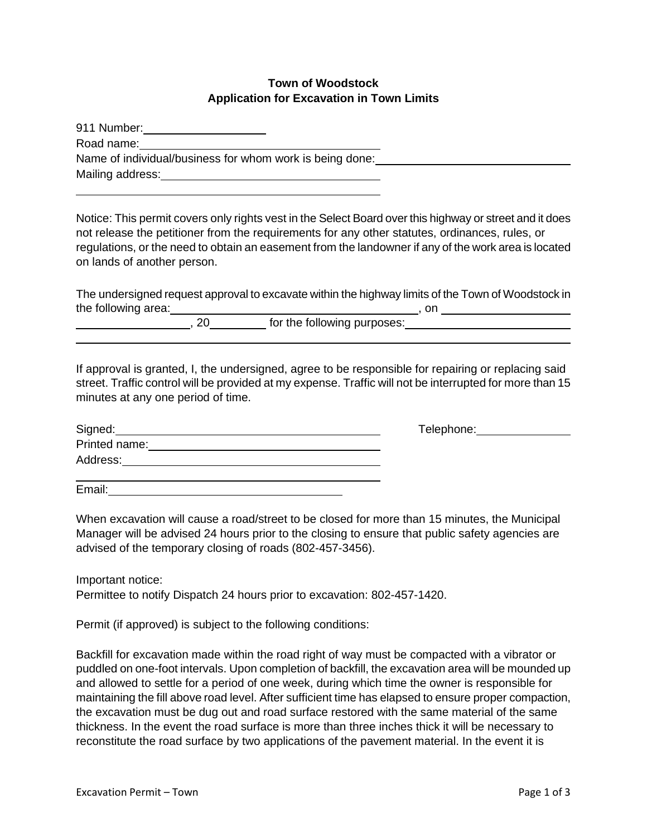## **Town of Woodstock Application for Excavation in Town Limits**

| 911 Number:                                              |
|----------------------------------------------------------|
| Road name:                                               |
| Name of individual/business for whom work is being done: |
| Mailing address:                                         |

Notice: This permit covers only rights vest in the Select Board over this highway or street and it does not release the petitioner from the requirements for any other statutes, ordinances, rules, or regulations, or the need to obtain an easement from the landowner if any of the work area is located on lands of another person.

The undersigned request approval to excavate within the highway limits of the Town of Woodstock in the following area:  $\qquad \qquad \qquad$  , on

|  |                             | --- |  |
|--|-----------------------------|-----|--|
|  | for the following purposes: |     |  |
|  |                             |     |  |

If approval is granted, I, the undersigned, agree to be responsible for repairing or replacing said street. Traffic control will be provided at my expense. Traffic will not be interrupted for more than 15 minutes at any one period of time.

| Signed:       |  |
|---------------|--|
| Printed name: |  |
| Address:      |  |
|               |  |

Email:

When excavation will cause a road/street to be closed for more than 15 minutes, the Municipal Manager will be advised 24 hours prior to the closing to ensure that public safety agencies are

Important notice:

Permittee to notify Dispatch 24 hours prior to excavation: 802-457-1420.

Permit (if approved) is subject to the following conditions:

advised of the temporary closing of roads (802-457-3456).

Backfill for excavation made within the road right of way must be compacted with a vibrator or puddled on one-foot intervals. Upon completion of backfill, the excavation area will be mounded up and allowed to settle for a period of one week, during which time the owner is responsible for maintaining the fill above road level. After sufficient time has elapsed to ensure proper compaction, the excavation must be dug out and road surface restored with the same material of the same thickness. In the event the road surface is more than three inches thick it will be necessary to reconstitute the road surface by two applications of the pavement material. In the event it is

Signed: Telephone: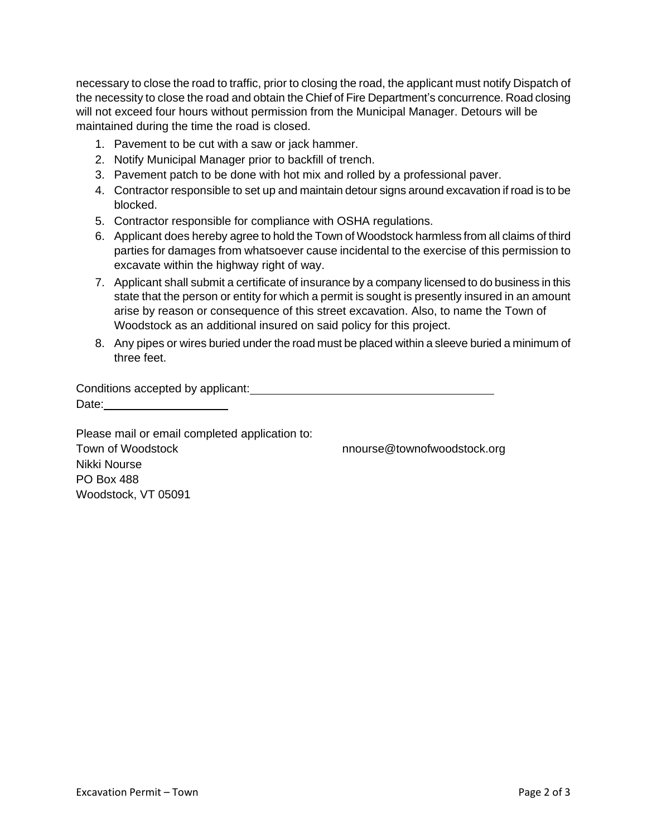necessary to close the road to traffic, prior to closing the road, the applicant must notify Dispatch of the necessity to close the road and obtain the Chief of Fire Department's concurrence. Road closing will not exceed four hours without permission from the Municipal Manager. Detours will be maintained during the time the road is closed.

- 1. Pavement to be cut with a saw or jack hammer.
- 2. Notify Municipal Manager prior to backfill of trench.
- 3. Pavement patch to be done with hot mix and rolled by a professional paver.
- 4. Contractor responsible to set up and maintain detour signs around excavation if road is to be blocked.
- 5. Contractor responsible for compliance with OSHA regulations.
- 6. Applicant does hereby agree to hold the Town of Woodstock harmless from all claims of third parties for damages from whatsoever cause incidental to the exercise of this permission to excavate within the highway right of way.
- 7. Applicant shall submit a certificate of insurance by a company licensed to do business in this state that the person or entity for which a permit is sought is presently insured in an amount arise by reason or consequence of this street excavation. Also, to name the Town of Woodstock as an additional insured on said policy for this project.
- 8. Any pipes or wires buried under the road must be placed within a sleeve buried a minimum of three feet.

Conditions accepted by applicant:<br>
<u>Conditions</u> accepted by applicant: Date: **Date: Date: Date: Date: Date: Date: Date: Date: Date: Date: Date: Date: Date: Date: Date: Date: Date: Date: Date: Date: Date: Date: Date: Date: Date: Date: Date:**

Please mail or email completed application to: Town of Woodstock nnourse@townofwoodstock.org Nikki Nourse PO Box 488 Woodstock, VT 05091